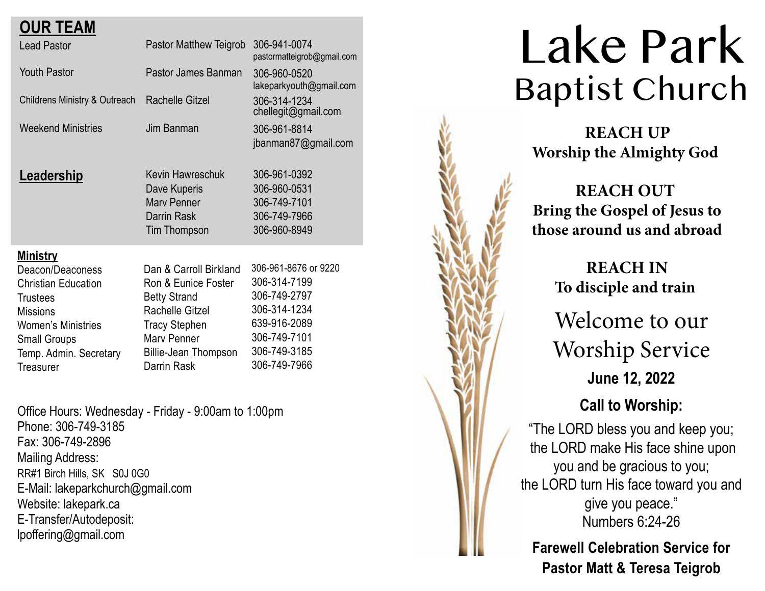| <b>OUR TEAM</b>                                                                                                                                                                                    |                                                                                                                                                                              |                                                                                                                                      |
|----------------------------------------------------------------------------------------------------------------------------------------------------------------------------------------------------|------------------------------------------------------------------------------------------------------------------------------------------------------------------------------|--------------------------------------------------------------------------------------------------------------------------------------|
| <b>Lead Pastor</b>                                                                                                                                                                                 | Pastor Matthew Teigrob                                                                                                                                                       | 306-941-0074<br>pastormatteigrob@gmail.com                                                                                           |
| <b>Youth Pastor</b>                                                                                                                                                                                | Pastor James Banman                                                                                                                                                          | 306-960-0520<br>lakeparkyouth@gmail.com                                                                                              |
| <b>Childrens Ministry &amp; Outreach</b>                                                                                                                                                           | <b>Rachelle Gitzel</b>                                                                                                                                                       | 306-314-1234<br>chellegit@gmail.com                                                                                                  |
| <b>Weekend Ministries</b>                                                                                                                                                                          | Jim Banman                                                                                                                                                                   | 306-961-8814<br>jbanman87@gmail.com                                                                                                  |
| <u>Leadership</u>                                                                                                                                                                                  | Kevin Hawreschuk<br>Dave Kuperis<br><b>Mary Penner</b><br>Darrin Rask<br><b>Tim Thompson</b>                                                                                 | 306-961-0392<br>306-960-0531<br>306-749-7101<br>306-749-7966<br>306-960-8949                                                         |
| <u>Ministry</u><br>Deacon/Deaconess<br><b>Christian Education</b><br><b>Trustees</b><br><b>Missions</b><br><b>Women's Ministries</b><br><b>Small Groups</b><br>Temp. Admin. Secretary<br>Treasurer | Dan & Carroll Birkland<br>Ron & Eunice Foster<br><b>Betty Strand</b><br>Rachelle Gitzel<br><b>Tracy Stephen</b><br>Mary Penner<br><b>Billie-Jean Thompson</b><br>Darrin Rask | 306-961-8676 or 9220<br>306-314-7199<br>306-749-2797<br>306-314-1234<br>639-916-2089<br>306-749-7101<br>306-749-3185<br>306-749-7966 |

Office Hours: Wednesday - Friday - 9:00am to 1:00pm Phone: 306-749-3185 Fax: 306-749-2896 Mailing Address: RR#1 Birch Hills, SK S0J 0G0 E-Mail: lakeparkchurch@gmail.com Website: lakepark.ca E-Transfer/Autodeposit: lpoffering@gmail.com



# Lake Park Baptist Church

**REACH UP Worship the Almighty God**

# **REACH OUT Bring the Gospel of Jesus to those around us and abroad**

 **REACH IN To disciple and train**

Welcome to our Worship Service **June 12, 2022**

# **Call to Worship:**

"The LORD bless you and keep you; the LORD make His face shine upon you and be gracious to you; the LORD turn His face toward you and give you peace." Numbers 6:24-26

**Farewell Celebration Service for Pastor Matt & Teresa Teigrob**